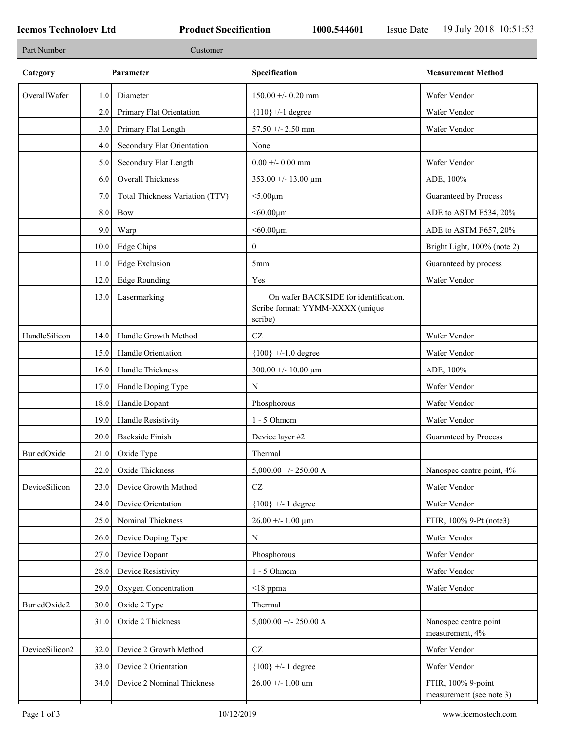| Part Number    |      | Customer                        |                                                                                      |                                                |
|----------------|------|---------------------------------|--------------------------------------------------------------------------------------|------------------------------------------------|
| Category       |      | Parameter                       | Specification                                                                        | <b>Measurement Method</b>                      |
| OverallWafer   | 1.0  | Diameter                        | $150.00 + -0.20$ mm                                                                  | Wafer Vendor                                   |
|                | 2.0  | Primary Flat Orientation        | ${110}$ +/-1 degree                                                                  | Wafer Vendor                                   |
|                | 3.0  | Primary Flat Length             | 57.50 +/- 2.50 mm                                                                    | Wafer Vendor                                   |
|                | 4.0  | Secondary Flat Orientation      | None                                                                                 |                                                |
|                | 5.0  | Secondary Flat Length           | $0.00 +/- 0.00$ mm                                                                   | Wafer Vendor                                   |
|                | 6.0  | Overall Thickness               | $353.00 + - 13.00 \mu m$                                                             | ADE, 100%                                      |
|                | 7.0  | Total Thickness Variation (TTV) | $<$ 5.00 $\mu$ m                                                                     | Guaranteed by Process                          |
|                | 8.0  | Bow                             | $<$ 60.00 $\mu$ m                                                                    | ADE to ASTM F534, 20%                          |
|                | 9.0  | Warp                            | $<$ 60.00 $\mu$ m                                                                    | ADE to ASTM F657, 20%                          |
|                | 10.0 | Edge Chips                      | $\boldsymbol{0}$                                                                     | Bright Light, 100% (note 2)                    |
|                | 11.0 | <b>Edge Exclusion</b>           | 5 <sub>mm</sub>                                                                      | Guaranteed by process                          |
|                | 12.0 | Edge Rounding                   | Yes                                                                                  | Wafer Vendor                                   |
|                | 13.0 | Lasermarking                    | On wafer BACKSIDE for identification.<br>Scribe format: YYMM-XXXX (unique<br>scribe) |                                                |
| HandleSilicon  | 14.0 | Handle Growth Method            | CZ                                                                                   | Wafer Vendor                                   |
|                | 15.0 | Handle Orientation              | ${100}$ +/-1.0 degree                                                                | Wafer Vendor                                   |
|                | 16.0 | Handle Thickness                | 300.00 +/- 10.00 $\mu$ m                                                             | ADE, 100%                                      |
|                | 17.0 | Handle Doping Type              | ${\bf N}$                                                                            | Wafer Vendor                                   |
|                | 18.0 | Handle Dopant                   | Phosphorous                                                                          | Wafer Vendor                                   |
|                | 19.0 | Handle Resistivity              | 1 - 5 Ohmem                                                                          | Wafer Vendor                                   |
|                | 20.0 | <b>Backside Finish</b>          | Device layer #2                                                                      | Guaranteed by Process                          |
| BuriedOxide    |      | 21.0 Oxide Type                 | Thermal                                                                              |                                                |
|                | 22.0 | Oxide Thickness                 | $5,000.00 +/- 250.00 A$                                                              | Nanospec centre point, 4%                      |
| DeviceSilicon  | 23.0 | Device Growth Method            | $\operatorname{CZ}$                                                                  | Wafer Vendor                                   |
|                | 24.0 | Device Orientation              | ${100}$ +/- 1 degree                                                                 | Wafer Vendor                                   |
|                | 25.0 | Nominal Thickness               | $26.00 + - 1.00 \mu m$                                                               | FTIR, 100% 9-Pt (note3)                        |
|                | 26.0 | Device Doping Type              | N                                                                                    | Wafer Vendor                                   |
|                | 27.0 | Device Dopant                   | Phosphorous                                                                          | Wafer Vendor                                   |
|                | 28.0 | Device Resistivity              | 1 - 5 Ohmem                                                                          | Wafer Vendor                                   |
|                | 29.0 | Oxygen Concentration            | $<$ 18 ppma                                                                          | Wafer Vendor                                   |
| BuriedOxide2   | 30.0 | Oxide 2 Type                    | Thermal                                                                              |                                                |
|                | 31.0 | Oxide 2 Thickness               | 5,000.00 +/- 250.00 A                                                                | Nanospec centre point<br>measurement, 4%       |
| DeviceSilicon2 | 32.0 | Device 2 Growth Method          | $\operatorname{CZ}$                                                                  | Wafer Vendor                                   |
|                | 33.0 | Device 2 Orientation            | ${100}$ +/- 1 degree                                                                 | Wafer Vendor                                   |
|                | 34.0 | Device 2 Nominal Thickness      | $26.00 + - 1.00$ um                                                                  | FTIR, 100% 9-point<br>measurement (see note 3) |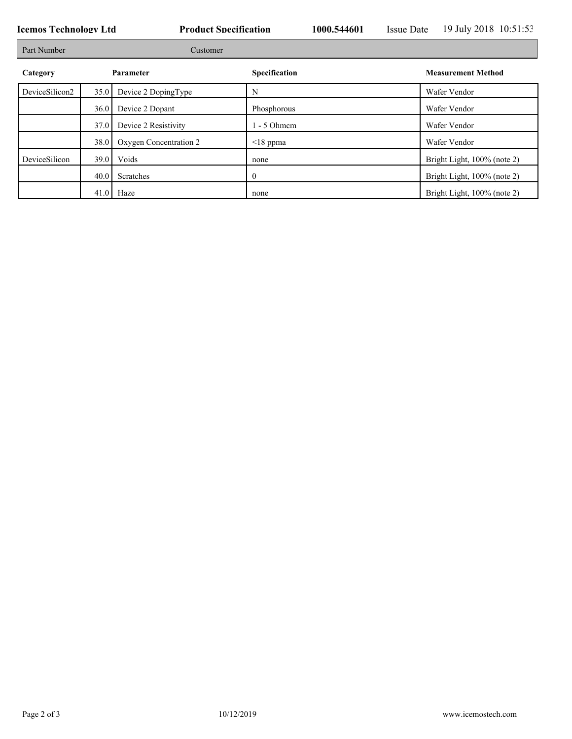| <b>Icemos Technology Ltd</b> |      |                        | <b>Product Specification</b> |  | <b>Issue Date</b> | 19 July 2018 10:51:53       |
|------------------------------|------|------------------------|------------------------------|--|-------------------|-----------------------------|
| Part Number                  |      | Customer               |                              |  |                   |                             |
| Category                     |      | Parameter              | <b>Specification</b>         |  |                   | <b>Measurement Method</b>   |
| DeviceSilicon2               | 35.0 | Device 2 DopingType    | N                            |  |                   | Wafer Vendor                |
|                              | 36.0 | Device 2 Dopant        | Phosphorous                  |  |                   | Wafer Vendor                |
|                              | 37.0 | Device 2 Resistivity   | - 5 Ohmem                    |  |                   | Wafer Vendor                |
|                              | 38.0 | Oxygen Concentration 2 | $\leq$ 18 ppma               |  |                   | Wafer Vendor                |
| DeviceSilicon                | 39.0 | Voids                  | none                         |  |                   | Bright Light, 100% (note 2) |
|                              | 40.0 | Scratches              | $\boldsymbol{0}$             |  |                   | Bright Light, 100% (note 2) |
|                              | 41.0 | Haze                   | none                         |  |                   | Bright Light, 100% (note 2) |